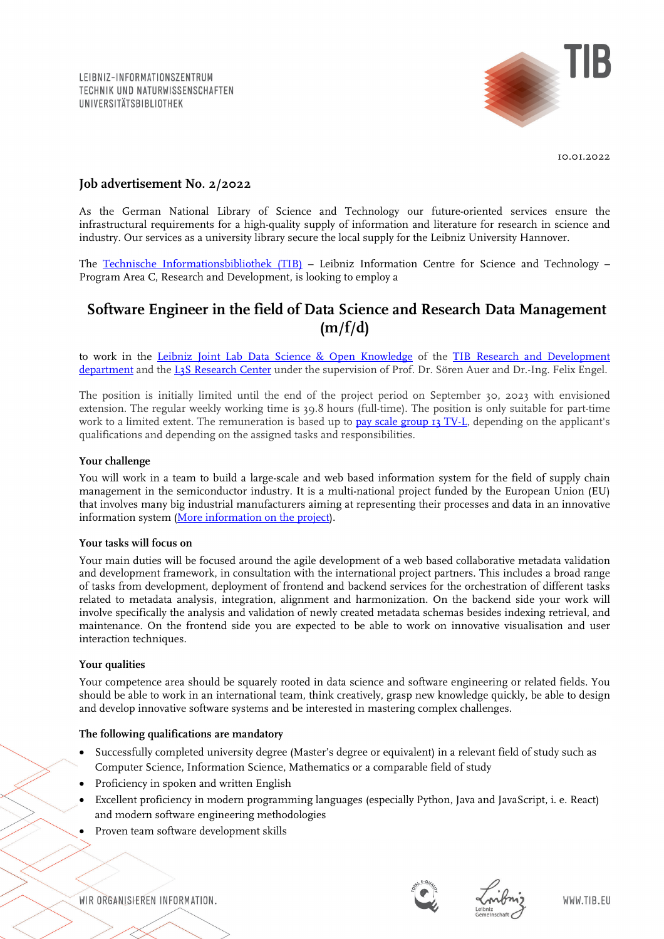

10.01.2022

# **Job advertisement No. 2/2022**

As the German National Library of Science and Technology our future-oriented services ensure the infrastructural requirements for a high-quality supply of information and literature for research in science and industry. Our services as a university library secure the local supply for the Leibniz University Hannover.

The [Technische Informationsbibliothek \(TIB\)](https://www.tib.eu/en/) – Leibniz Information Centre for Science and Technology – Program Area C, Research and Development, is looking to employ a

# **Software Engineer in the field of Data Science and Research Data Management (m/f/d)**

to work in the Leibniz [Joint Lab Data Science & Open Knowledge](https://www.tib.eu/en/research-development/joint-lab/) of the TIB Research and Development [department](https://www.tib.eu/en/research-development/) and the [L3S Research Center](https://www.l3s.de/en) under the supervision of Prof. Dr. Sören Auer and Dr.-Ing. Felix Engel.

The position is initially limited until the end of the project period on September 30, 2023 with envisioned extension. The regular weekly working time is 39.8 hours (full-time). The position is only suitable for part-time work to a limited extent. The remuneration is based up to [pay scale group 13 TV-L,](https://oeffentlicher-dienst.info/c/t/rechner/tv-l/west?id=tv-l-2021&matrix=1) depending on the applicant's qualifications and depending on the assigned tasks and responsibilities.

## **Your challenge**

You will work in a team to build a large-scale and web based information system for the field of supply chain management in the semiconductor industry. It is a multi-national project funded by the European Union (EU) that involves many big industrial manufacturers aiming at representing their processes and data in an innovative information system [\(More information on the project\)](https://sc3-project.automotive.oth-aw.de/index.php).

#### **Your tasks will focus on**

Your main duties will be focused around the agile development of a web based collaborative metadata validation and development framework, in consultation with the international project partners. This includes a broad range of tasks from development, deployment of frontend and backend services for the orchestration of different tasks related to metadata analysis, integration, alignment and harmonization. On the backend side your work will involve specifically the analysis and validation of newly created metadata schemas besides indexing retrieval, and maintenance. On the frontend side you are expected to be able to work on innovative visualisation and user interaction techniques.

#### **Your qualities**

Your competence area should be squarely rooted in data science and software engineering or related fields. You should be able to work in an international team, think creatively, grasp new knowledge quickly, be able to design and develop innovative software systems and be interested in mastering complex challenges.

#### **The following qualifications are mandatory**

- Successfully completed university degree (Master's degree or equivalent) in a relevant field of study such as Computer Science, Information Science, Mathematics or a comparable field of study
- Proficiency in spoken and written English
- Excellent proficiency in modern programming languages (especially Python, Java and JavaScript, i. e. React) and modern software engineering methodologies
- Proven team software development skills

WIR ORGANISIEREN INFORMATION.



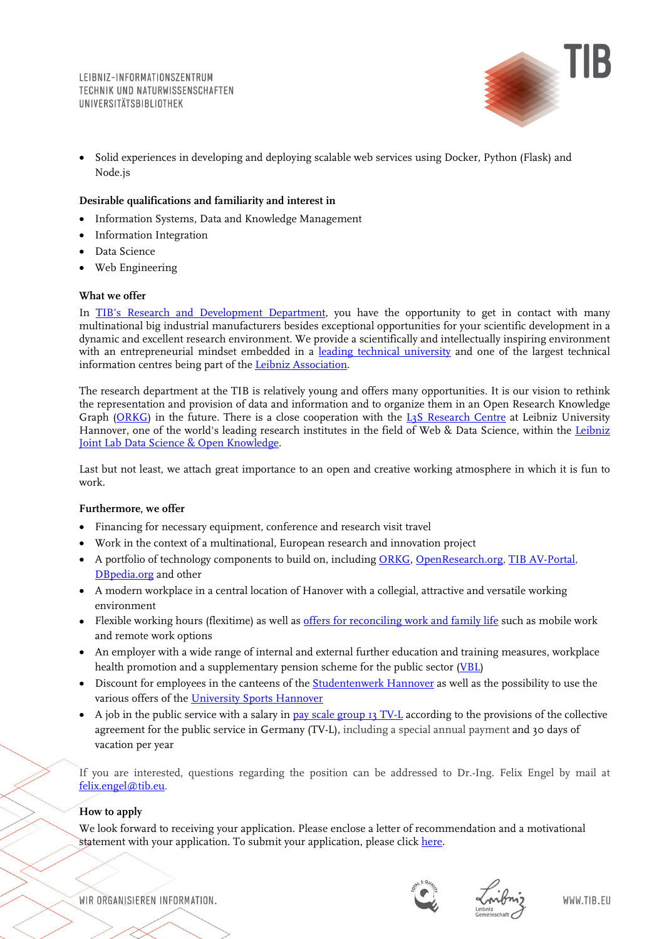

• Solid experiences in developing and deploying scalable web services using Docker, Python (Flask) and Node.js

# **Desirable qualifications and familiarity and interest in**

- Information Systems, Data and Knowledge Management
- Information Integration
- Data Science
- Web Engineering

## **What we offer**

In [TIB's Research and Development Department,](https://www.tib.eu/en/research-development/) you have the opportunity to get in contact with many multinational big industrial manufacturers besides exceptional opportunities for your scientific development in a dynamic and excellent research environment. We provide a scientifically and intellectually inspiring environment with an entrepreneurial mindset embedded in a [leading technical university](https://www.tu9.de/uni-h/en/) and one of the largest technical information centres being part of the [Leibniz Association.](https://www.leibniz-gemeinschaft.de/en/)

The research department at the TIB is relatively young and offers many opportunities. It is our vision to rethink the representation and provision of data and information and to organize them in an Open Research Knowledge Graph [\(ORKG\)](https://projects.tib.eu/orkg/) in the future. There is a close cooperation with the [L3S Research Centre](https://www.l3s.de/en) at Leibniz University Hannover, one of the world's leading research institutes in the field of Web & Data Science, within the [Leibniz](https://www.tib.eu/en/research-development/joint-lab/) [Joint Lab Data Science &](https://www.tib.eu/en/research-development/joint-lab/) Open Knowledge.

Last but not least, we attach great importance to an open and creative working atmosphere in which it is fun to work.

## **Furthermore, we offer**

- Financing for necessary equipment, conference and research visit travel
- Work in the context of a multinational, European research and innovation project
- A portfolio of technology components to build on, including [ORKG,](https://projects.tib.eu/orkg/) [OpenResearch.org,](https://www.openresearch.org/wiki/Main_Page) TIB AV-Portal, [DBpedia.org](https://wiki.dbpedia.org/) and other
- A modern workplace in a central location of Hanover with a collegial, attractive and versatile working environment
- Flexible working hours (flexitime) as well as [offers for reconciling work and family life](https://www.tib.eu/en/tib/careers-and-apprenticeships/equal-opportunities/) such as mobile work and remote work options
- An employer with a wide range of internal and external further education and training measures, workplace health promotion and a supplementary pension scheme for the public sector [\(VBL\)](https://www.vbl.de/de?t=/VBL/english&i=1113979957474&l=0&e=UTF-8&ParentID=1228245487465)
- Discount for employees in the canteens of the **Studentenwerk Hannover** as well as the possibility to use the various offers of the [University Sports Hannover](https://www.hochschulsport-hannover.de/en/)
- A job in the public service with a salary i[n pay scale group 13 TV-L](http://oeffentlicher-dienst.info/c/t/rechner/tv-l/west?id=tv-l-2021&matrix=1) according to the provisions of the collective agreement for the public service in Germany (TV-L), including a special annual payment and 30 days of vacation per year

If you are interested, questions regarding the position can be addressed to Dr.-Ing. Felix Engel by mail at [felix.engel@tib.eu.](mailto:felix.engel@tib.eu)

# **How to apply**

We look forward to receiving your application. Please enclose a letter of recommendation and a motivational statement with your application. To submit your application, please click [here.](https://tib.eu/bewerbungsformular-2-2022eng)

WIR ORGANISIEREN INFORMATION.